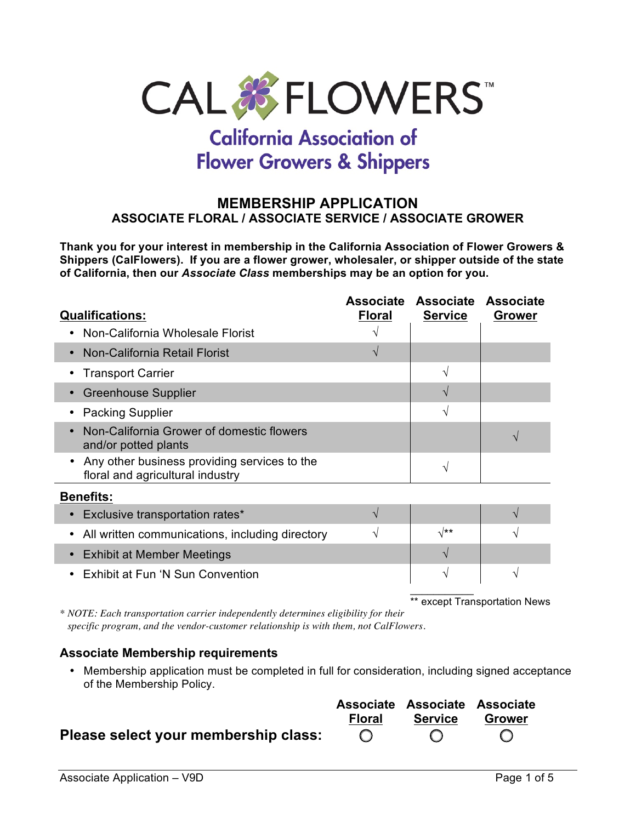

# **California Association of Flower Growers & Shippers**

#### **MEMBERSHIP APPLICATION ASSOCIATE FLORAL / ASSOCIATE SERVICE / ASSOCIATE GROWER**

**Thank you for your interest in membership in the California Association of Flower Growers & Shippers (CalFlowers). If you are a flower grower, wholesaler, or shipper outside of the state of California, then our** *Associate Class* **memberships may be an option for you.**

| <b>Qualifications:</b>                                                           | <b>Associate</b><br><b>Floral</b> | <b>Associate</b><br><b>Service</b> | <b>Associate</b><br><b>Grower</b> |
|----------------------------------------------------------------------------------|-----------------------------------|------------------------------------|-----------------------------------|
| Non-California Wholesale Florist                                                 |                                   |                                    |                                   |
| Non-California Retail Florist                                                    |                                   |                                    |                                   |
| <b>Transport Carrier</b>                                                         |                                   | N                                  |                                   |
| <b>Greenhouse Supplier</b>                                                       |                                   | N                                  |                                   |
| <b>Packing Supplier</b>                                                          |                                   | N                                  |                                   |
| Non-California Grower of domestic flowers<br>and/or potted plants                |                                   |                                    |                                   |
| Any other business providing services to the<br>floral and agricultural industry |                                   | V                                  |                                   |
| <b>Benefits:</b>                                                                 |                                   |                                    |                                   |
| Exclusive transportation rates*                                                  | V                                 |                                    |                                   |
| All written communications, including directory                                  | V                                 | $\sqrt{**}$                        |                                   |
| <b>Exhibit at Member Meetings</b>                                                |                                   |                                    |                                   |

• Exhibit at Fun 'N Sun Convention  $\overrightarrow{V}$   $\overrightarrow{V}$ 

 $\frac{1}{2}$ \*\* except Transportation News

*\* NOTE: Each transportation carrier independently determines eligibility for their specific program, and the vendor-customer relationship is with them, not CalFlowers.*

#### **Associate Membership requirements**

• Membership application must be completed in full for consideration, including signed acceptance of the Membership Policy.

#### **Associate Associate Associate Floral Service Grower Please select your membership class:** $\bigcirc$  $\bigcirc$  $\bigcap$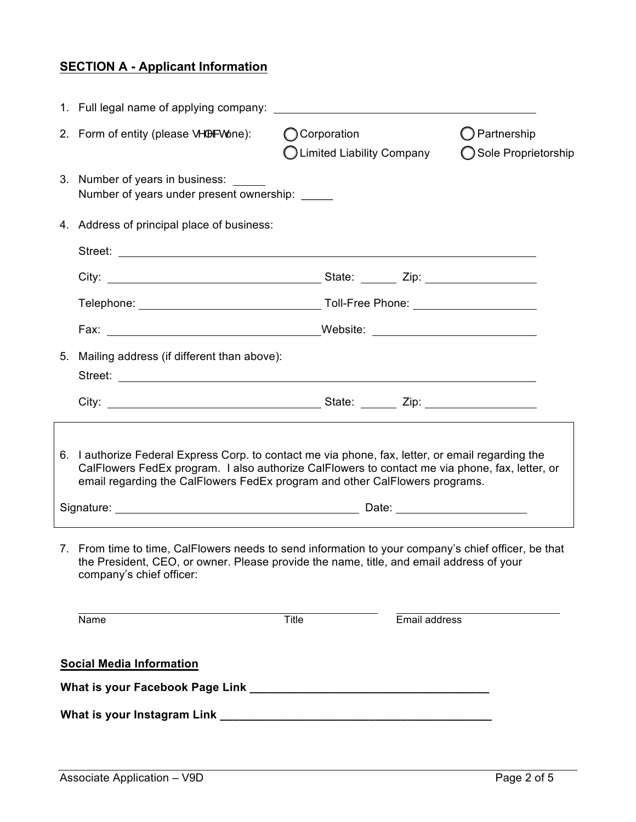# **SECTION A - Applicant Information**

| 2. Form of entity (please •^ ^&cone):                                                                                                                                                                                                                                                 | <b>O</b> Corporation<br>◯ Limited Liability Company |               | $\bigcirc$ Partnership<br>◯ Sole Proprietorship |
|---------------------------------------------------------------------------------------------------------------------------------------------------------------------------------------------------------------------------------------------------------------------------------------|-----------------------------------------------------|---------------|-------------------------------------------------|
| 3. Number of years in business: _____<br>Number of years under present ownership: ______                                                                                                                                                                                              |                                                     |               |                                                 |
| 4. Address of principal place of business:                                                                                                                                                                                                                                            |                                                     |               |                                                 |
| Street:                                                                                                                                                                                                                                                                               |                                                     |               |                                                 |
|                                                                                                                                                                                                                                                                                       |                                                     |               |                                                 |
|                                                                                                                                                                                                                                                                                       |                                                     |               |                                                 |
|                                                                                                                                                                                                                                                                                       |                                                     |               |                                                 |
| 5. Mailing address (if different than above):<br>Street: <u>www.community.com/inductors/inductors/inductors/inductors/inductors/inductors/inductors/inductors/inductors/inductors/inductors/inductors/inductors/inductors/inductors/inductors/inductors/inductors/inductors/induc</u> |                                                     |               |                                                 |
|                                                                                                                                                                                                                                                                                       |                                                     |               |                                                 |
| 6. I authorize Federal Express Corp. to contact me via phone, fax, letter, or email regarding the<br>CalFlowers FedEx program. I also authorize CalFlowers to contact me via phone, fax, letter, or<br>email regarding the CalFlowers FedEx program and other CalFlowers programs.    |                                                     |               |                                                 |
|                                                                                                                                                                                                                                                                                       |                                                     |               |                                                 |
| 7. From time to time, CalFlowers needs to send information to your company's chief officer, be that<br>the President, CEO, or owner. Please provide the name, title, and email address of your<br>company's chief officer:                                                            |                                                     |               |                                                 |
| Name                                                                                                                                                                                                                                                                                  | Title                                               | Email address |                                                 |
| <b>Social Media Information</b>                                                                                                                                                                                                                                                       |                                                     |               |                                                 |
|                                                                                                                                                                                                                                                                                       |                                                     |               |                                                 |
|                                                                                                                                                                                                                                                                                       |                                                     |               |                                                 |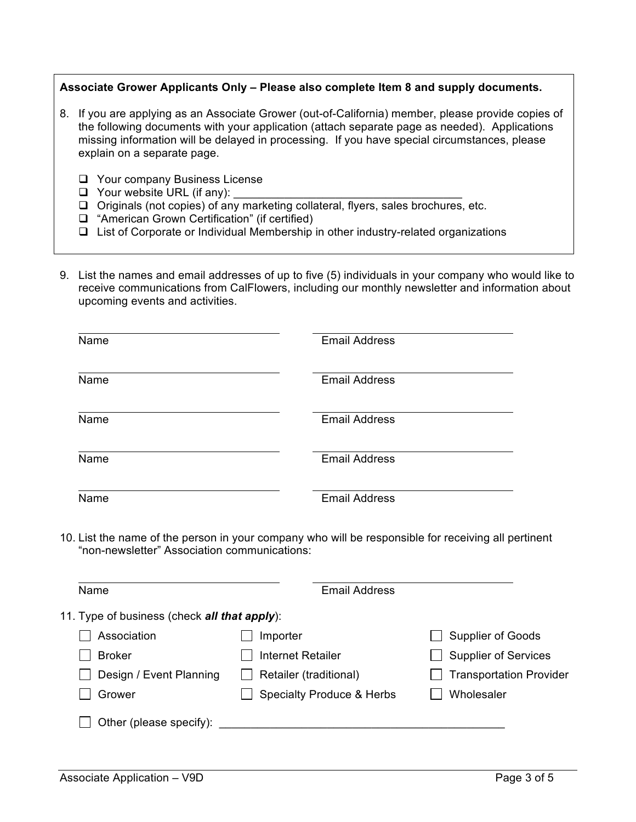#### **Associate Grower Applicants Only – Please also complete Item 8 and supply documents.**

- 8. If you are applying as an Associate Grower (out-of-California) member, please provide copies of the following documents with your application (attach separate page as needed). Applications missing information will be delayed in processing. If you have special circumstances, please explain on a separate page.
	- $\Box$  Your company Business License
	- $\Box$  Your website URL (if any):
	- $\Box$  Originals (not copies) of any marketing collateral, flyers, sales brochures, etc.
	- $\Box$  "American Grown Certification" (if certified)
	- $\Box$  List of Corporate or Individual Membership in other industry-related organizations
- 9. List the names and email addresses of up to five (5) individuals in your company who would like to receive communications from CalFlowers, including our monthly newsletter and information about upcoming events and activities.

| Name | <b>Email Address</b> |
|------|----------------------|
| Name | <b>Email Address</b> |
| Name | <b>Email Address</b> |
| Name | <b>Email Address</b> |
| Name | <b>Email Address</b> |

10. List the name of the person in your company who will be responsible for receiving all pertinent "non-newsletter" Association communications:

| Name                                                 | <b>Email Address</b>                 |                                |  |  |
|------------------------------------------------------|--------------------------------------|--------------------------------|--|--|
| 11. Type of business (check <b>all that apply</b> ): |                                      |                                |  |  |
| Association                                          | Importer                             | <b>Supplier of Goods</b>       |  |  |
| <b>Broker</b>                                        | <b>Internet Retailer</b>             | <b>Supplier of Services</b>    |  |  |
| Design / Event Planning                              | Retailer (traditional)               | <b>Transportation Provider</b> |  |  |
| Grower                                               | <b>Specialty Produce &amp; Herbs</b> | Wholesaler                     |  |  |
| Other (please specify):                              |                                      |                                |  |  |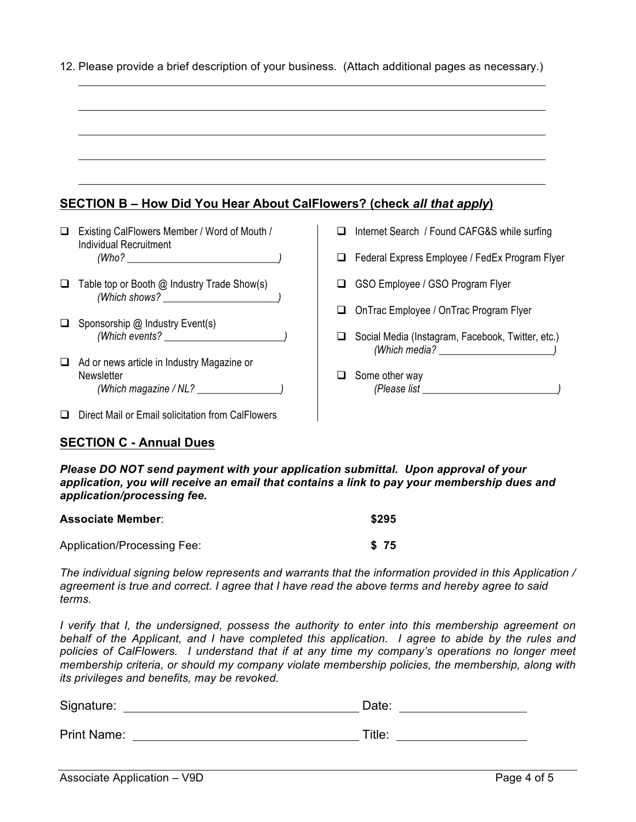|        | <b>SECTION B - How Did You Hear About CalFlowers? (check all that apply)</b>    |   |                                                                    |
|--------|---------------------------------------------------------------------------------|---|--------------------------------------------------------------------|
|        | □ Existing CalFlowers Member / Word of Mouth /<br><b>Individual Recruitment</b> | ◻ | Internet Search / Found CAFG&S while surfing                       |
|        |                                                                                 | ◻ | Federal Express Employee / FedEx Program Flyer                     |
| $\Box$ | Table top or Booth @ Industry Trade Show(s)                                     | □ | GSO Employee / GSO Program Flyer                                   |
|        |                                                                                 | □ | OnTrac Employee / OnTrac Program Flyer                             |
|        | Sponsorship @ Industry Event(s)                                                 |   | Social Media (Instagram, Facebook, Twitter, etc.)<br>(Which media? |
|        | Ad or news article in Industry Magazine or<br>Newsletter                        | ப | Some other way                                                     |
|        | $\Box$ Direct Mail or Email solicitation from CalFlowers                        |   |                                                                    |

12. Please provide a brief description of your business. (Attach additional pages as necessary.)

#### **SECTION C - Annual Dues**

*Please DO NOT send payment with your application submittal. Upon approval of your application, you will receive an email that contains a link to pay your membership dues and application/processing fee.*

| <b>Associate Member:</b>    | \$295 |
|-----------------------------|-------|
| Application/Processing Fee: | S 75  |

*The individual signing below represents and warrants that the information provided in this Application / agreement is true and correct. I agree that I have read the above terms and hereby agree to said terms.*

*I* verify that *I*, the undersigned, possess the authority to enter into this membership agreement on *behalf of the Applicant, and I have completed this application. I agree to abide by the rules and policies of CalFlowers. I understand that if at any time my company's operations no longer meet membership criteria, or should my company violate membership policies, the membership, along with its privileges and benefits, may be revoked.*

| Signature:         | Date:  |
|--------------------|--------|
| <b>Print Name:</b> | Title: |